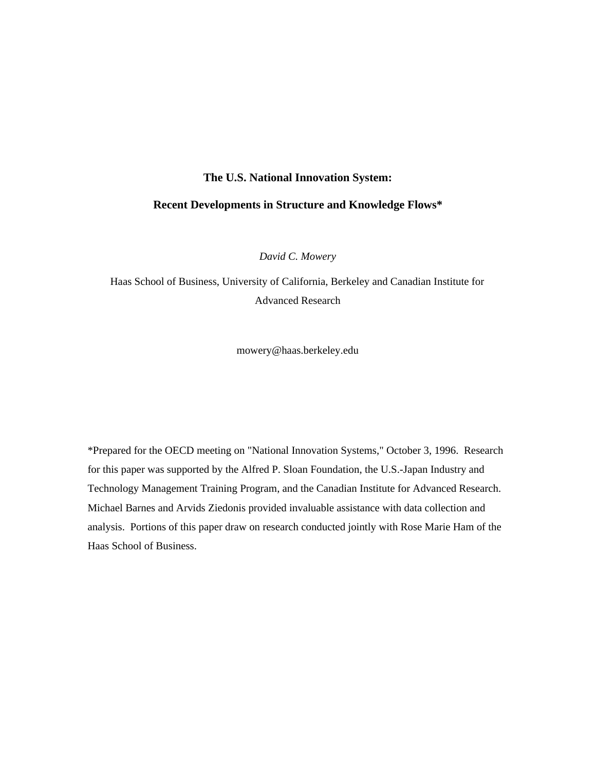#### **The U.S. National Innovation System:**

#### **Recent Developments in Structure and Knowledge Flows\***

*David C. Mowery*

Haas School of Business, University of California, Berkeley and Canadian Institute for Advanced Research

mowery@haas.berkeley.edu

\*Prepared for the OECD meeting on "National Innovation Systems," October 3, 1996. Research for this paper was supported by the Alfred P. Sloan Foundation, the U.S.-Japan Industry and Technology Management Training Program, and the Canadian Institute for Advanced Research. Michael Barnes and Arvids Ziedonis provided invaluable assistance with data collection and analysis. Portions of this paper draw on research conducted jointly with Rose Marie Ham of the Haas School of Business.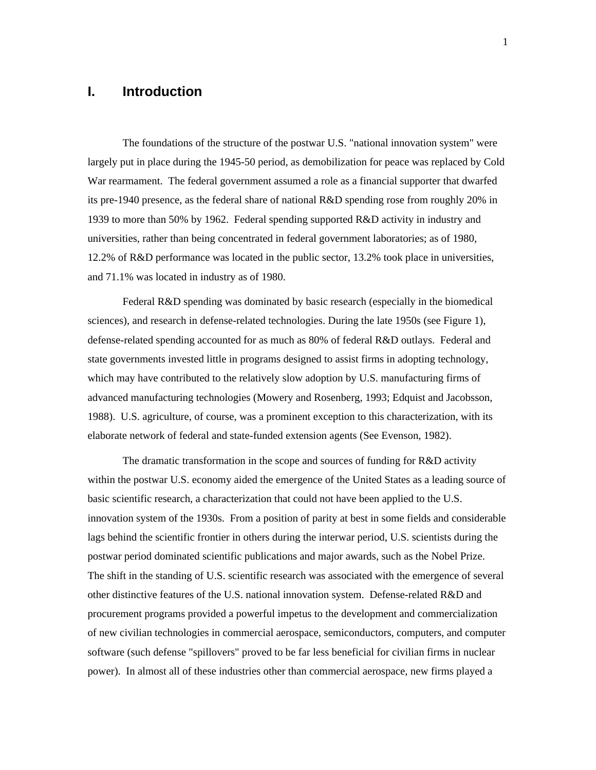# **I. Introduction**

The foundations of the structure of the postwar U.S. "national innovation system" were largely put in place during the 1945-50 period, as demobilization for peace was replaced by Cold War rearmament. The federal government assumed a role as a financial supporter that dwarfed its pre-1940 presence, as the federal share of national R&D spending rose from roughly 20% in 1939 to more than 50% by 1962. Federal spending supported R&D activity in industry and universities, rather than being concentrated in federal government laboratories; as of 1980, 12.2% of R&D performance was located in the public sector, 13.2% took place in universities, and 71.1% was located in industry as of 1980.

Federal R&D spending was dominated by basic research (especially in the biomedical sciences), and research in defense-related technologies. During the late 1950s (see Figure 1), defense-related spending accounted for as much as 80% of federal R&D outlays. Federal and state governments invested little in programs designed to assist firms in adopting technology, which may have contributed to the relatively slow adoption by U.S. manufacturing firms of advanced manufacturing technologies (Mowery and Rosenberg, 1993; Edquist and Jacobsson, 1988). U.S. agriculture, of course, was a prominent exception to this characterization, with its elaborate network of federal and state-funded extension agents (See Evenson, 1982).

The dramatic transformation in the scope and sources of funding for R&D activity within the postwar U.S. economy aided the emergence of the United States as a leading source of basic scientific research, a characterization that could not have been applied to the U.S. innovation system of the 1930s. From a position of parity at best in some fields and considerable lags behind the scientific frontier in others during the interwar period, U.S. scientists during the postwar period dominated scientific publications and major awards, such as the Nobel Prize. The shift in the standing of U.S. scientific research was associated with the emergence of several other distinctive features of the U.S. national innovation system. Defense-related R&D and procurement programs provided a powerful impetus to the development and commercialization of new civilian technologies in commercial aerospace, semiconductors, computers, and computer software (such defense "spillovers" proved to be far less beneficial for civilian firms in nuclear power). In almost all of these industries other than commercial aerospace, new firms played a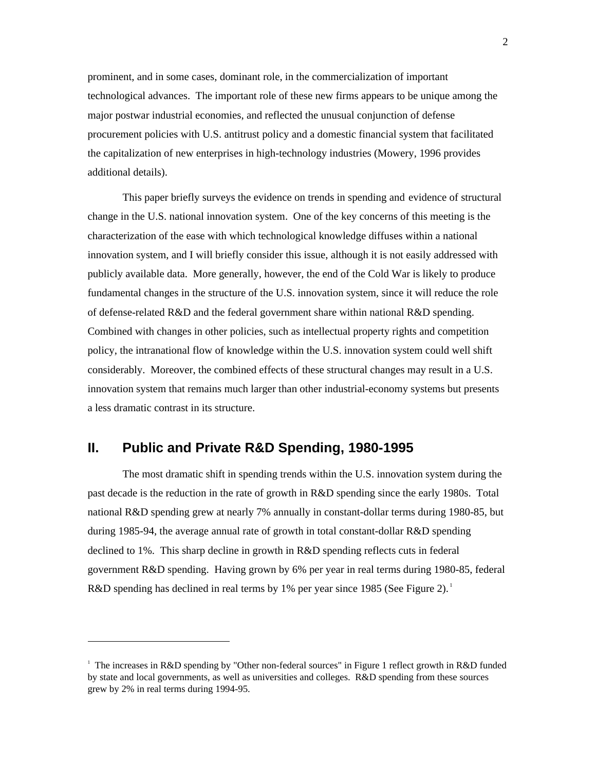prominent, and in some cases, dominant role, in the commercialization of important technological advances. The important role of these new firms appears to be unique among the major postwar industrial economies, and reflected the unusual conjunction of defense procurement policies with U.S. antitrust policy and a domestic financial system that facilitated the capitalization of new enterprises in high-technology industries (Mowery, 1996 provides additional details).

This paper briefly surveys the evidence on trends in spending and evidence of structural change in the U.S. national innovation system. One of the key concerns of this meeting is the characterization of the ease with which technological knowledge diffuses within a national innovation system, and I will briefly consider this issue, although it is not easily addressed with publicly available data. More generally, however, the end of the Cold War is likely to produce fundamental changes in the structure of the U.S. innovation system, since it will reduce the role of defense-related R&D and the federal government share within national R&D spending. Combined with changes in other policies, such as intellectual property rights and competition policy, the intranational flow of knowledge within the U.S. innovation system could well shift considerably. Moreover, the combined effects of these structural changes may result in a U.S. innovation system that remains much larger than other industrial-economy systems but presents a less dramatic contrast in its structure.

# **II. Public and Private R&D Spending, 1980-1995**

 $\overline{a}$ 

The most dramatic shift in spending trends within the U.S. innovation system during the past decade is the reduction in the rate of growth in R&D spending since the early 1980s. Total national R&D spending grew at nearly 7% annually in constant-dollar terms during 1980-85, but during 1985-94, the average annual rate of growth in total constant-dollar R&D spending declined to 1%. This sharp decline in growth in R&D spending reflects cuts in federal government R&D spending. Having grown by 6% per year in real terms during 1980-85, federal R&D spending has declined in real terms by 1% per year since 1985 (See Figure 2).<sup>1</sup>

<sup>&</sup>lt;sup>1</sup> The increases in R&D spending by "Other non-federal sources" in Figure 1 reflect growth in R&D funded by state and local governments, as well as universities and colleges. R&D spending from these sources grew by 2% in real terms during 1994-95.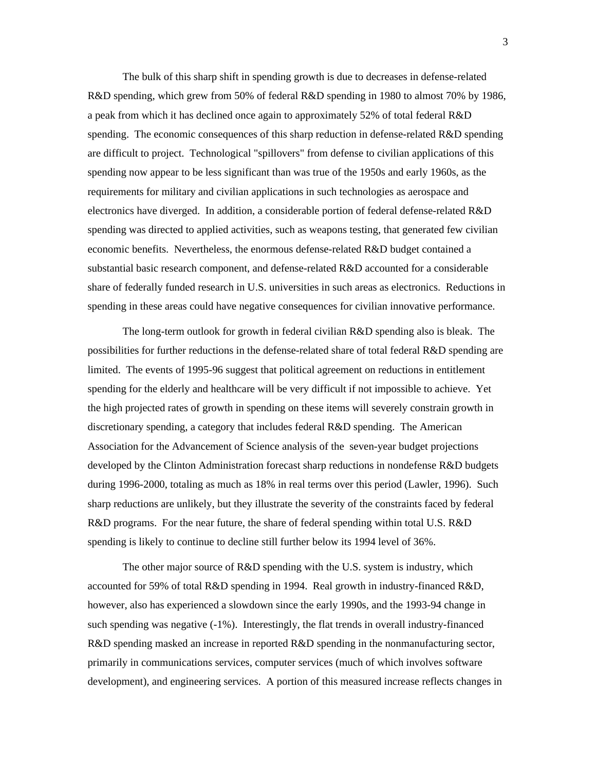The bulk of this sharp shift in spending growth is due to decreases in defense-related R&D spending, which grew from 50% of federal R&D spending in 1980 to almost 70% by 1986, a peak from which it has declined once again to approximately 52% of total federal R&D spending. The economic consequences of this sharp reduction in defense-related R&D spending are difficult to project. Technological "spillovers" from defense to civilian applications of this spending now appear to be less significant than was true of the 1950s and early 1960s, as the requirements for military and civilian applications in such technologies as aerospace and electronics have diverged. In addition, a considerable portion of federal defense-related R&D spending was directed to applied activities, such as weapons testing, that generated few civilian economic benefits. Nevertheless, the enormous defense-related R&D budget contained a substantial basic research component, and defense-related R&D accounted for a considerable share of federally funded research in U.S. universities in such areas as electronics. Reductions in spending in these areas could have negative consequences for civilian innovative performance.

The long-term outlook for growth in federal civilian R&D spending also is bleak. The possibilities for further reductions in the defense-related share of total federal R&D spending are limited. The events of 1995-96 suggest that political agreement on reductions in entitlement spending for the elderly and healthcare will be very difficult if not impossible to achieve. Yet the high projected rates of growth in spending on these items will severely constrain growth in discretionary spending, a category that includes federal R&D spending. The American Association for the Advancement of Science analysis of the seven-year budget projections developed by the Clinton Administration forecast sharp reductions in nondefense R&D budgets during 1996-2000, totaling as much as 18% in real terms over this period (Lawler, 1996). Such sharp reductions are unlikely, but they illustrate the severity of the constraints faced by federal R&D programs. For the near future, the share of federal spending within total U.S. R&D spending is likely to continue to decline still further below its 1994 level of 36%.

The other major source of R&D spending with the U.S. system is industry, which accounted for 59% of total R&D spending in 1994. Real growth in industry-financed R&D, however, also has experienced a slowdown since the early 1990s, and the 1993-94 change in such spending was negative (-1%). Interestingly, the flat trends in overall industry-financed R&D spending masked an increase in reported R&D spending in the nonmanufacturing sector, primarily in communications services, computer services (much of which involves software development), and engineering services. A portion of this measured increase reflects changes in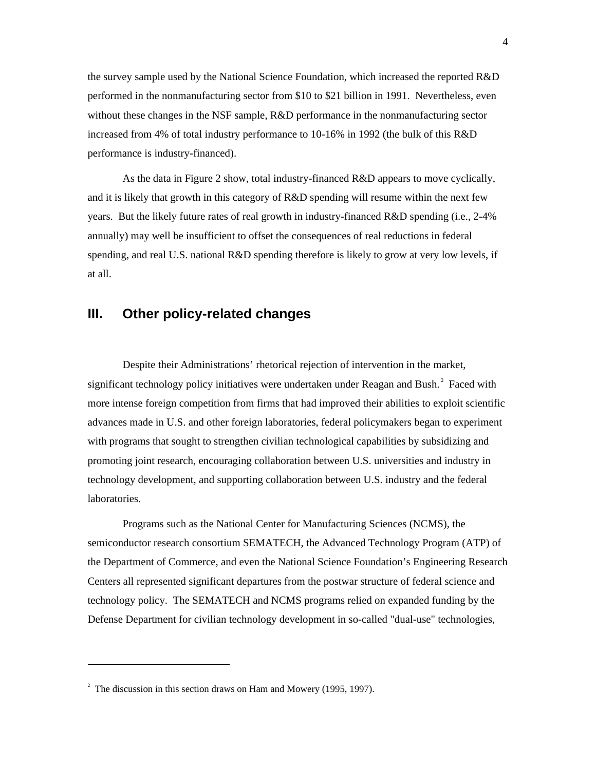the survey sample used by the National Science Foundation, which increased the reported R&D performed in the nonmanufacturing sector from \$10 to \$21 billion in 1991. Nevertheless, even without these changes in the NSF sample, R&D performance in the nonmanufacturing sector increased from 4% of total industry performance to 10-16% in 1992 (the bulk of this R&D performance is industry-financed).

As the data in Figure 2 show, total industry-financed R&D appears to move cyclically, and it is likely that growth in this category of R&D spending will resume within the next few years. But the likely future rates of real growth in industry-financed R&D spending (i.e., 2-4% annually) may well be insufficient to offset the consequences of real reductions in federal spending, and real U.S. national R&D spending therefore is likely to grow at very low levels, if at all.

# **III. Other policy-related changes**

Despite their Administrations' rhetorical rejection of intervention in the market, significant technology policy initiatives were undertaken under Reagan and Bush.<sup>2</sup> Faced with more intense foreign competition from firms that had improved their abilities to exploit scientific advances made in U.S. and other foreign laboratories, federal policymakers began to experiment with programs that sought to strengthen civilian technological capabilities by subsidizing and promoting joint research, encouraging collaboration between U.S. universities and industry in technology development, and supporting collaboration between U.S. industry and the federal laboratories.

Programs such as the National Center for Manufacturing Sciences (NCMS), the semiconductor research consortium SEMATECH, the Advanced Technology Program (ATP) of the Department of Commerce, and even the National Science Foundation's Engineering Research Centers all represented significant departures from the postwar structure of federal science and technology policy. The SEMATECH and NCMS programs relied on expanded funding by the Defense Department for civilian technology development in so-called "dual-use" technologies,

1

 $2^2$  The discussion in this section draws on Ham and Mowery (1995, 1997).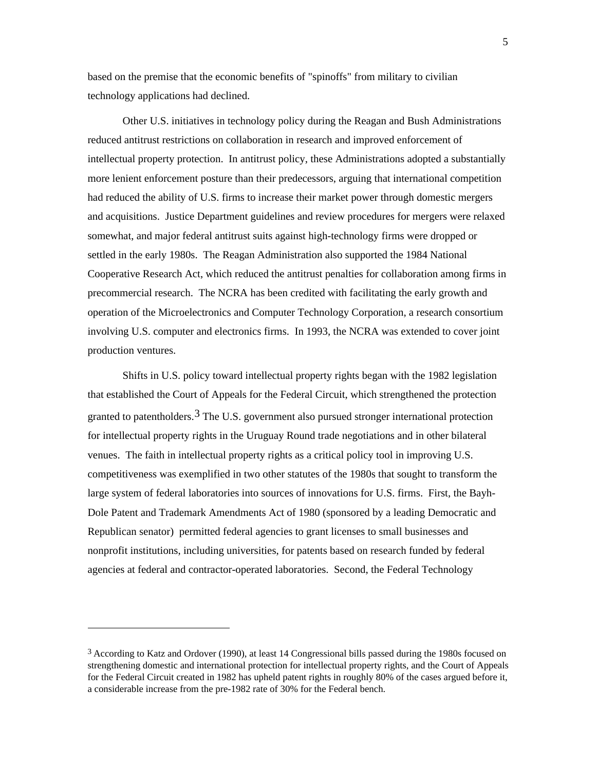based on the premise that the economic benefits of "spinoffs" from military to civilian technology applications had declined.

Other U.S. initiatives in technology policy during the Reagan and Bush Administrations reduced antitrust restrictions on collaboration in research and improved enforcement of intellectual property protection. In antitrust policy, these Administrations adopted a substantially more lenient enforcement posture than their predecessors, arguing that international competition had reduced the ability of U.S. firms to increase their market power through domestic mergers and acquisitions. Justice Department guidelines and review procedures for mergers were relaxed somewhat, and major federal antitrust suits against high-technology firms were dropped or settled in the early 1980s. The Reagan Administration also supported the 1984 National Cooperative Research Act, which reduced the antitrust penalties for collaboration among firms in precommercial research. The NCRA has been credited with facilitating the early growth and operation of the Microelectronics and Computer Technology Corporation, a research consortium involving U.S. computer and electronics firms. In 1993, the NCRA was extended to cover joint production ventures.

Shifts in U.S. policy toward intellectual property rights began with the 1982 legislation that established the Court of Appeals for the Federal Circuit, which strengthened the protection granted to patentholders.<sup>3</sup> The U.S. government also pursued stronger international protection for intellectual property rights in the Uruguay Round trade negotiations and in other bilateral venues. The faith in intellectual property rights as a critical policy tool in improving U.S. competitiveness was exemplified in two other statutes of the 1980s that sought to transform the large system of federal laboratories into sources of innovations for U.S. firms. First, the Bayh-Dole Patent and Trademark Amendments Act of 1980 (sponsored by a leading Democratic and Republican senator) permitted federal agencies to grant licenses to small businesses and nonprofit institutions, including universities, for patents based on research funded by federal agencies at federal and contractor-operated laboratories. Second, the Federal Technology

j

<sup>3</sup> According to Katz and Ordover (1990), at least 14 Congressional bills passed during the 1980s focused on strengthening domestic and international protection for intellectual property rights, and the Court of Appeals for the Federal Circuit created in 1982 has upheld patent rights in roughly 80% of the cases argued before it, a considerable increase from the pre-1982 rate of 30% for the Federal bench.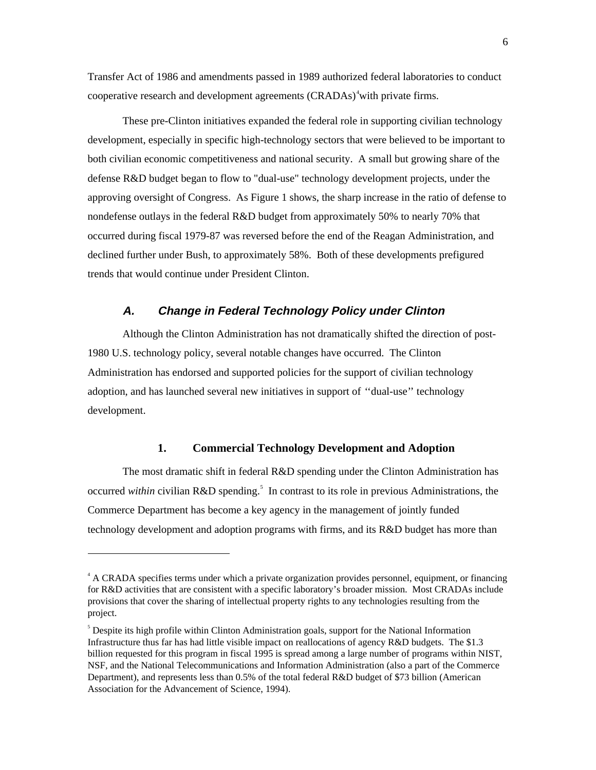Transfer Act of 1986 and amendments passed in 1989 authorized federal laboratories to conduct cooperative research and development agreements (CRADAs)<sup>4</sup> with private firms.

These pre-Clinton initiatives expanded the federal role in supporting civilian technology development, especially in specific high-technology sectors that were believed to be important to both civilian economic competitiveness and national security. A small but growing share of the defense R&D budget began to flow to "dual-use" technology development projects, under the approving oversight of Congress. As Figure 1 shows, the sharp increase in the ratio of defense to nondefense outlays in the federal R&D budget from approximately 50% to nearly 70% that occurred during fiscal 1979-87 was reversed before the end of the Reagan Administration, and declined further under Bush, to approximately 58%. Both of these developments prefigured trends that would continue under President Clinton.

#### **A. Change in Federal Technology Policy under Clinton**

Although the Clinton Administration has not dramatically shifted the direction of post-1980 U.S. technology policy, several notable changes have occurred. The Clinton Administration has endorsed and supported policies for the support of civilian technology adoption, and has launched several new initiatives in support of ''dual-use'' technology development.

#### **1. Commercial Technology Development and Adoption**

The most dramatic shift in federal R&D spending under the Clinton Administration has occurred *within* civilian R&D spending.<sup>5</sup> In contrast to its role in previous Administrations, the Commerce Department has become a key agency in the management of jointly funded technology development and adoption programs with firms, and its R&D budget has more than

 $\overline{a}$ 

<sup>&</sup>lt;sup>4</sup> A CRADA specifies terms under which a private organization provides personnel, equipment, or financing for R&D activities that are consistent with a specific laboratory's broader mission. Most CRADAs include provisions that cover the sharing of intellectual property rights to any technologies resulting from the project.

<sup>&</sup>lt;sup>5</sup> Despite its high profile within Clinton Administration goals, support for the National Information Infrastructure thus far has had little visible impact on reallocations of agency R&D budgets. The \$1.3 billion requested for this program in fiscal 1995 is spread among a large number of programs within NIST, NSF, and the National Telecommunications and Information Administration (also a part of the Commerce Department), and represents less than 0.5% of the total federal R&D budget of \$73 billion (American Association for the Advancement of Science, 1994).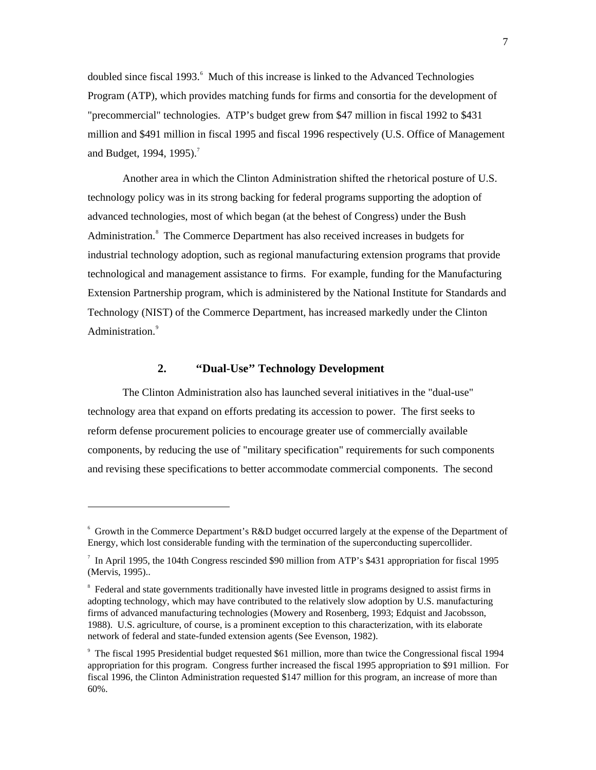doubled since fiscal 1993.<sup>6</sup> Much of this increase is linked to the Advanced Technologies Program (ATP), which provides matching funds for firms and consortia for the development of "precommercial" technologies. ATP's budget grew from \$47 million in fiscal 1992 to \$431 million and \$491 million in fiscal 1995 and fiscal 1996 respectively (U.S. Office of Management and Budget, 1994, 1995).<sup>7</sup>

Another area in which the Clinton Administration shifted the rhetorical posture of U.S. technology policy was in its strong backing for federal programs supporting the adoption of advanced technologies, most of which began (at the behest of Congress) under the Bush Administration.<sup>8</sup> The Commerce Department has also received increases in budgets for industrial technology adoption, such as regional manufacturing extension programs that provide technological and management assistance to firms. For example, funding for the Manufacturing Extension Partnership program, which is administered by the National Institute for Standards and Technology (NIST) of the Commerce Department, has increased markedly under the Clinton Administration.<sup>9</sup>

### **2. ''Dual-Use'' Technology Development**

 $\overline{a}$ 

The Clinton Administration also has launched several initiatives in the "dual-use" technology area that expand on efforts predating its accession to power. The first seeks to reform defense procurement policies to encourage greater use of commercially available components, by reducing the use of "military specification" requirements for such components and revising these specifications to better accommodate commercial components. The second

<sup>6</sup> Growth in the Commerce Department's R&D budget occurred largely at the expense of the Department of Energy, which lost considerable funding with the termination of the superconducting supercollider.

<sup>&</sup>lt;sup>7</sup> In April 1995, the 104th Congress rescinded \$90 million from ATP's \$431 appropriation for fiscal 1995 (Mervis, 1995)..

<sup>&</sup>lt;sup>8</sup> Federal and state governments traditionally have invested little in programs designed to assist firms in adopting technology, which may have contributed to the relatively slow adoption by U.S. manufacturing firms of advanced manufacturing technologies (Mowery and Rosenberg, 1993; Edquist and Jacobsson, 1988). U.S. agriculture, of course, is a prominent exception to this characterization, with its elaborate network of federal and state-funded extension agents (See Evenson, 1982).

<sup>9</sup> The fiscal 1995 Presidential budget requested \$61 million, more than twice the Congressional fiscal 1994 appropriation for this program. Congress further increased the fiscal 1995 appropriation to \$91 million. For fiscal 1996, the Clinton Administration requested \$147 million for this program, an increase of more than 60%.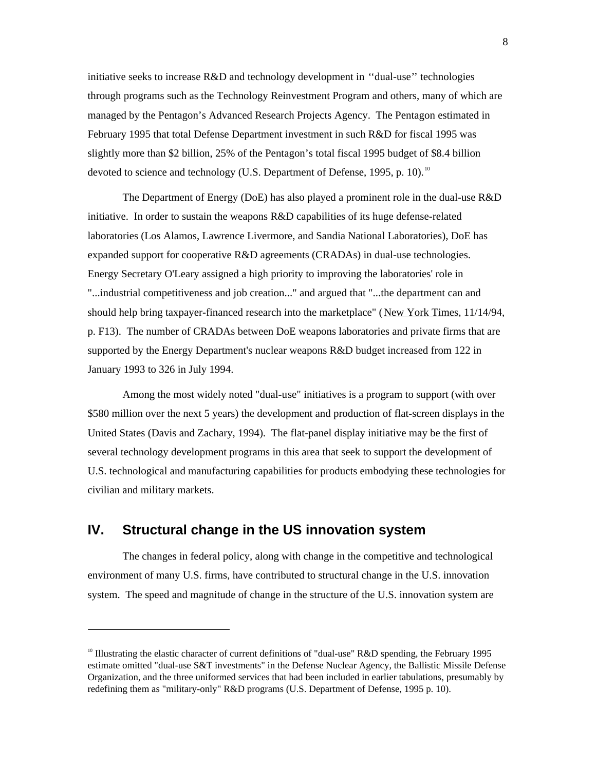initiative seeks to increase R&D and technology development in ''dual-use'' technologies through programs such as the Technology Reinvestment Program and others, many of which are managed by the Pentagon's Advanced Research Projects Agency. The Pentagon estimated in February 1995 that total Defense Department investment in such R&D for fiscal 1995 was slightly more than \$2 billion, 25% of the Pentagon's total fiscal 1995 budget of \$8.4 billion devoted to science and technology (U.S. Department of Defense, 1995, p. 10).<sup>10</sup>

The Department of Energy (DoE) has also played a prominent role in the dual-use R&D initiative. In order to sustain the weapons R&D capabilities of its huge defense-related laboratories (Los Alamos, Lawrence Livermore, and Sandia National Laboratories), DoE has expanded support for cooperative R&D agreements (CRADAs) in dual-use technologies. Energy Secretary O'Leary assigned a high priority to improving the laboratories' role in "...industrial competitiveness and job creation..." and argued that "...the department can and should help bring taxpayer-financed research into the marketplace" (New York Times, 11/14/94, p. F13). The number of CRADAs between DoE weapons laboratories and private firms that are supported by the Energy Department's nuclear weapons R&D budget increased from 122 in January 1993 to 326 in July 1994.

Among the most widely noted "dual-use" initiatives is a program to support (with over \$580 million over the next 5 years) the development and production of flat-screen displays in the United States (Davis and Zachary, 1994). The flat-panel display initiative may be the first of several technology development programs in this area that seek to support the development of U.S. technological and manufacturing capabilities for products embodying these technologies for civilian and military markets.

## **IV. Structural change in the US innovation system**

 $\overline{a}$ 

The changes in federal policy, along with change in the competitive and technological environment of many U.S. firms, have contributed to structural change in the U.S. innovation system. The speed and magnitude of change in the structure of the U.S. innovation system are

<sup>&</sup>lt;sup>10</sup> Illustrating the elastic character of current definitions of "dual-use" R&D spending, the February 1995 estimate omitted "dual-use S&T investments" in the Defense Nuclear Agency, the Ballistic Missile Defense Organization, and the three uniformed services that had been included in earlier tabulations, presumably by redefining them as "military-only" R&D programs (U.S. Department of Defense, 1995 p. 10).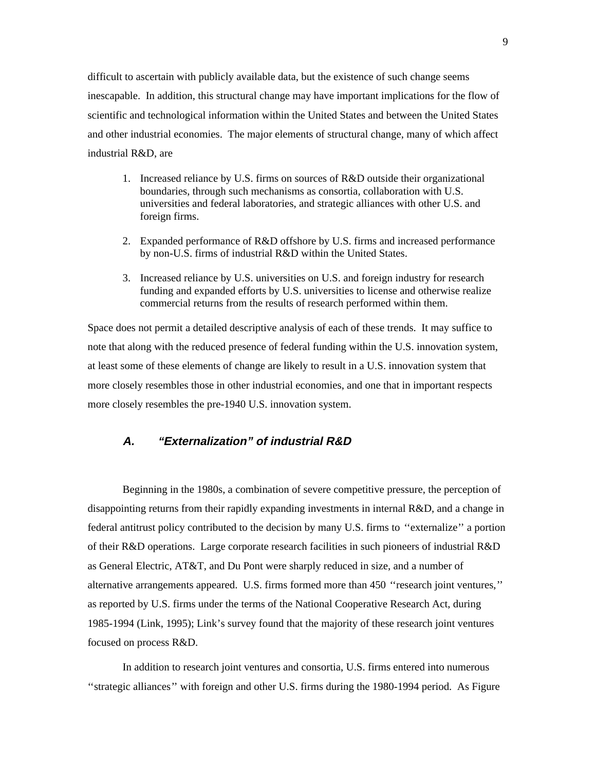difficult to ascertain with publicly available data, but the existence of such change seems inescapable. In addition, this structural change may have important implications for the flow of scientific and technological information within the United States and between the United States and other industrial economies. The major elements of structural change, many of which affect industrial R&D, are

- 1. Increased reliance by U.S. firms on sources of R&D outside their organizational boundaries, through such mechanisms as consortia, collaboration with U.S. universities and federal laboratories, and strategic alliances with other U.S. and foreign firms.
- 2. Expanded performance of R&D offshore by U.S. firms and increased performance by non-U.S. firms of industrial R&D within the United States.
- 3. Increased reliance by U.S. universities on U.S. and foreign industry for research funding and expanded efforts by U.S. universities to license and otherwise realize commercial returns from the results of research performed within them.

Space does not permit a detailed descriptive analysis of each of these trends. It may suffice to note that along with the reduced presence of federal funding within the U.S. innovation system, at least some of these elements of change are likely to result in a U.S. innovation system that more closely resembles those in other industrial economies, and one that in important respects more closely resembles the pre-1940 U.S. innovation system.

### **A. ''Externalization'' of industrial R&D**

Beginning in the 1980s, a combination of severe competitive pressure, the perception of disappointing returns from their rapidly expanding investments in internal R&D, and a change in federal antitrust policy contributed to the decision by many U.S. firms to ''externalize'' a portion of their R&D operations. Large corporate research facilities in such pioneers of industrial R&D as General Electric, AT&T, and Du Pont were sharply reduced in size, and a number of alternative arrangements appeared. U.S. firms formed more than 450 ''research joint ventures,'' as reported by U.S. firms under the terms of the National Cooperative Research Act, during 1985-1994 (Link, 1995); Link's survey found that the majority of these research joint ventures focused on process R&D.

In addition to research joint ventures and consortia, U.S. firms entered into numerous ''strategic alliances'' with foreign and other U.S. firms during the 1980-1994 period. As Figure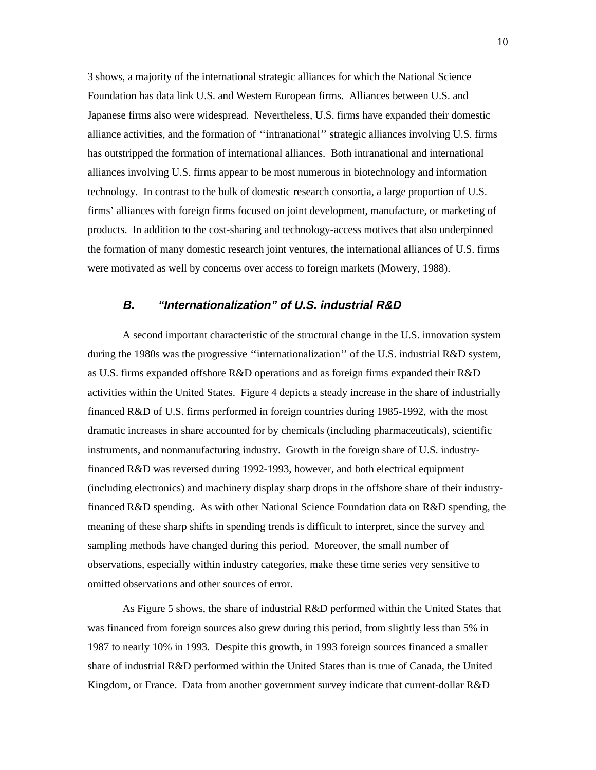3 shows, a majority of the international strategic alliances for which the National Science Foundation has data link U.S. and Western European firms. Alliances between U.S. and Japanese firms also were widespread. Nevertheless, U.S. firms have expanded their domestic alliance activities, and the formation of ''intranational'' strategic alliances involving U.S. firms has outstripped the formation of international alliances. Both intranational and international alliances involving U.S. firms appear to be most numerous in biotechnology and information technology. In contrast to the bulk of domestic research consortia, a large proportion of U.S. firms' alliances with foreign firms focused on joint development, manufacture, or marketing of products. In addition to the cost-sharing and technology-access motives that also underpinned the formation of many domestic research joint ventures, the international alliances of U.S. firms were motivated as well by concerns over access to foreign markets (Mowery, 1988).

### **B. ''Internationalization'' of U.S. industrial R&D**

A second important characteristic of the structural change in the U.S. innovation system during the 1980s was the progressive "internationalization" of the U.S. industrial R&D system, as U.S. firms expanded offshore R&D operations and as foreign firms expanded their R&D activities within the United States. Figure 4 depicts a steady increase in the share of industrially financed R&D of U.S. firms performed in foreign countries during 1985-1992, with the most dramatic increases in share accounted for by chemicals (including pharmaceuticals), scientific instruments, and nonmanufacturing industry. Growth in the foreign share of U.S. industryfinanced R&D was reversed during 1992-1993, however, and both electrical equipment (including electronics) and machinery display sharp drops in the offshore share of their industryfinanced R&D spending. As with other National Science Foundation data on R&D spending, the meaning of these sharp shifts in spending trends is difficult to interpret, since the survey and sampling methods have changed during this period. Moreover, the small number of observations, especially within industry categories, make these time series very sensitive to omitted observations and other sources of error.

As Figure 5 shows, the share of industrial R&D performed within the United States that was financed from foreign sources also grew during this period, from slightly less than 5% in 1987 to nearly 10% in 1993. Despite this growth, in 1993 foreign sources financed a smaller share of industrial R&D performed within the United States than is true of Canada, the United Kingdom, or France. Data from another government survey indicate that current-dollar R&D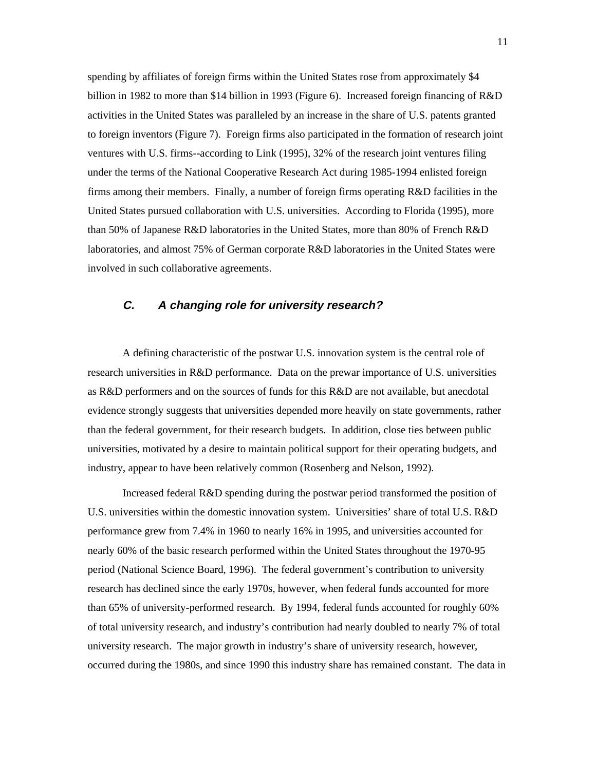spending by affiliates of foreign firms within the United States rose from approximately \$4 billion in 1982 to more than \$14 billion in 1993 (Figure 6). Increased foreign financing of R&D activities in the United States was paralleled by an increase in the share of U.S. patents granted to foreign inventors (Figure 7). Foreign firms also participated in the formation of research joint ventures with U.S. firms--according to Link (1995), 32% of the research joint ventures filing under the terms of the National Cooperative Research Act during 1985-1994 enlisted foreign firms among their members. Finally, a number of foreign firms operating R&D facilities in the United States pursued collaboration with U.S. universities. According to Florida (1995), more than 50% of Japanese R&D laboratories in the United States, more than 80% of French R&D laboratories, and almost 75% of German corporate R&D laboratories in the United States were involved in such collaborative agreements.

### **C. A changing role for university research?**

A defining characteristic of the postwar U.S. innovation system is the central role of research universities in R&D performance. Data on the prewar importance of U.S. universities as R&D performers and on the sources of funds for this R&D are not available, but anecdotal evidence strongly suggests that universities depended more heavily on state governments, rather than the federal government, for their research budgets. In addition, close ties between public universities, motivated by a desire to maintain political support for their operating budgets, and industry, appear to have been relatively common (Rosenberg and Nelson, 1992).

Increased federal R&D spending during the postwar period transformed the position of U.S. universities within the domestic innovation system. Universities' share of total U.S. R&D performance grew from 7.4% in 1960 to nearly 16% in 1995, and universities accounted for nearly 60% of the basic research performed within the United States throughout the 1970-95 period (National Science Board, 1996). The federal government's contribution to university research has declined since the early 1970s, however, when federal funds accounted for more than 65% of university-performed research. By 1994, federal funds accounted for roughly 60% of total university research, and industry's contribution had nearly doubled to nearly 7% of total university research. The major growth in industry's share of university research, however, occurred during the 1980s, and since 1990 this industry share has remained constant. The data in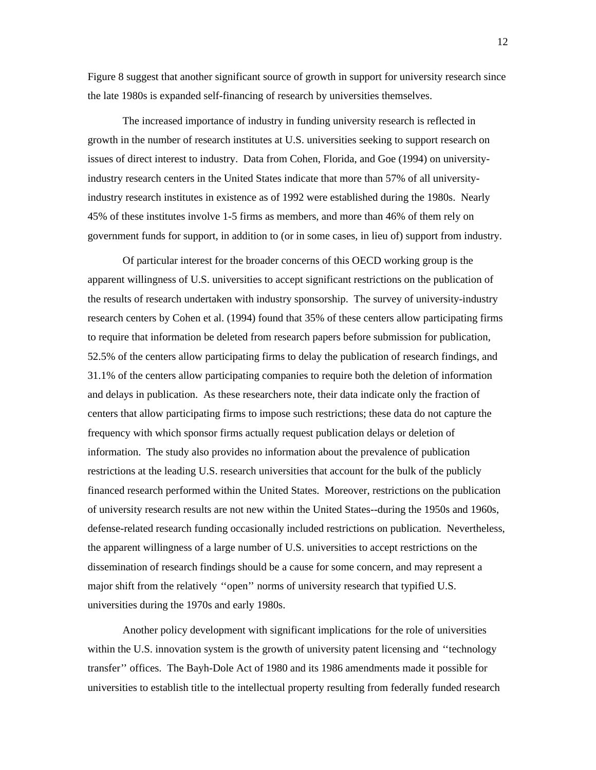Figure 8 suggest that another significant source of growth in support for university research since the late 1980s is expanded self-financing of research by universities themselves.

The increased importance of industry in funding university research is reflected in growth in the number of research institutes at U.S. universities seeking to support research on issues of direct interest to industry. Data from Cohen, Florida, and Goe (1994) on universityindustry research centers in the United States indicate that more than 57% of all universityindustry research institutes in existence as of 1992 were established during the 1980s. Nearly 45% of these institutes involve 1-5 firms as members, and more than 46% of them rely on government funds for support, in addition to (or in some cases, in lieu of) support from industry.

Of particular interest for the broader concerns of this OECD working group is the apparent willingness of U.S. universities to accept significant restrictions on the publication of the results of research undertaken with industry sponsorship. The survey of university-industry research centers by Cohen et al. (1994) found that 35% of these centers allow participating firms to require that information be deleted from research papers before submission for publication, 52.5% of the centers allow participating firms to delay the publication of research findings, and 31.1% of the centers allow participating companies to require both the deletion of information and delays in publication. As these researchers note, their data indicate only the fraction of centers that allow participating firms to impose such restrictions; these data do not capture the frequency with which sponsor firms actually request publication delays or deletion of information. The study also provides no information about the prevalence of publication restrictions at the leading U.S. research universities that account for the bulk of the publicly financed research performed within the United States. Moreover, restrictions on the publication of university research results are not new within the United States--during the 1950s and 1960s, defense-related research funding occasionally included restrictions on publication. Nevertheless, the apparent willingness of a large number of U.S. universities to accept restrictions on the dissemination of research findings should be a cause for some concern, and may represent a major shift from the relatively ''open'' norms of university research that typified U.S. universities during the 1970s and early 1980s.

Another policy development with significant implications for the role of universities within the U.S. innovation system is the growth of university patent licensing and ''technology transfer'' offices. The Bayh-Dole Act of 1980 and its 1986 amendments made it possible for universities to establish title to the intellectual property resulting from federally funded research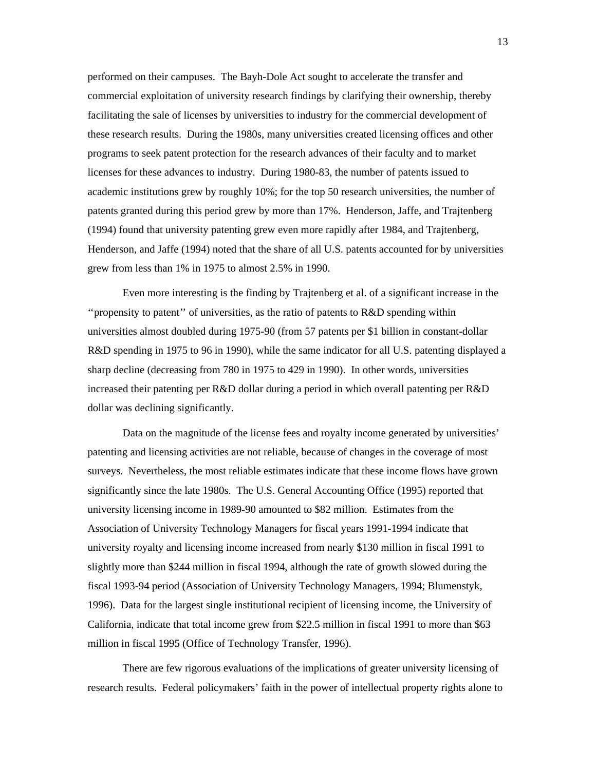performed on their campuses. The Bayh-Dole Act sought to accelerate the transfer and commercial exploitation of university research findings by clarifying their ownership, thereby facilitating the sale of licenses by universities to industry for the commercial development of these research results. During the 1980s, many universities created licensing offices and other programs to seek patent protection for the research advances of their faculty and to market licenses for these advances to industry. During 1980-83, the number of patents issued to academic institutions grew by roughly 10%; for the top 50 research universities, the number of patents granted during this period grew by more than 17%. Henderson, Jaffe, and Trajtenberg (1994) found that university patenting grew even more rapidly after 1984, and Trajtenberg, Henderson, and Jaffe (1994) noted that the share of all U.S. patents accounted for by universities grew from less than 1% in 1975 to almost 2.5% in 1990.

Even more interesting is the finding by Trajtenberg et al. of a significant increase in the ''propensity to patent'' of universities, as the ratio of patents to R&D spending within universities almost doubled during 1975-90 (from 57 patents per \$1 billion in constant-dollar R&D spending in 1975 to 96 in 1990), while the same indicator for all U.S. patenting displayed a sharp decline (decreasing from 780 in 1975 to 429 in 1990). In other words, universities increased their patenting per R&D dollar during a period in which overall patenting per R&D dollar was declining significantly.

Data on the magnitude of the license fees and royalty income generated by universities' patenting and licensing activities are not reliable, because of changes in the coverage of most surveys. Nevertheless, the most reliable estimates indicate that these income flows have grown significantly since the late 1980s. The U.S. General Accounting Office (1995) reported that university licensing income in 1989-90 amounted to \$82 million. Estimates from the Association of University Technology Managers for fiscal years 1991-1994 indicate that university royalty and licensing income increased from nearly \$130 million in fiscal 1991 to slightly more than \$244 million in fiscal 1994, although the rate of growth slowed during the fiscal 1993-94 period (Association of University Technology Managers, 1994; Blumenstyk, 1996). Data for the largest single institutional recipient of licensing income, the University of California, indicate that total income grew from \$22.5 million in fiscal 1991 to more than \$63 million in fiscal 1995 (Office of Technology Transfer, 1996).

There are few rigorous evaluations of the implications of greater university licensing of research results. Federal policymakers' faith in the power of intellectual property rights alone to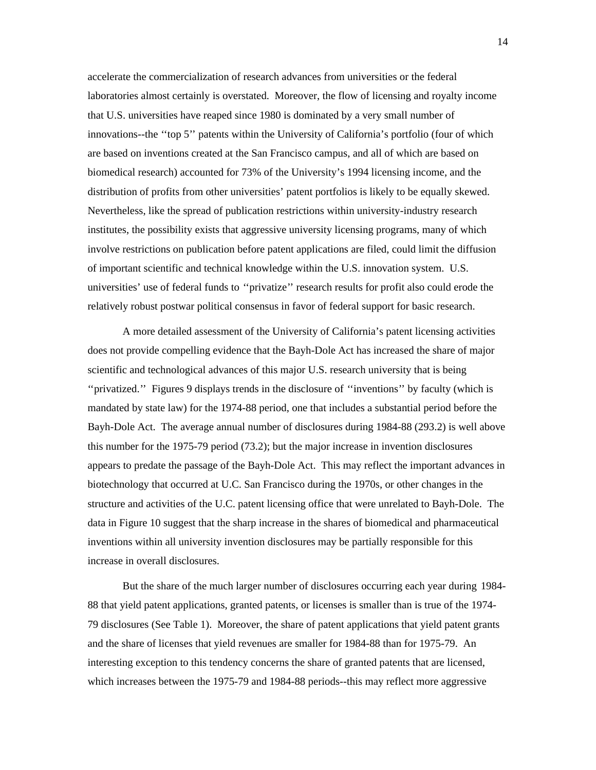accelerate the commercialization of research advances from universities or the federal laboratories almost certainly is overstated. Moreover, the flow of licensing and royalty income that U.S. universities have reaped since 1980 is dominated by a very small number of innovations--the ''top 5'' patents within the University of California's portfolio (four of which are based on inventions created at the San Francisco campus, and all of which are based on biomedical research) accounted for 73% of the University's 1994 licensing income, and the distribution of profits from other universities' patent portfolios is likely to be equally skewed. Nevertheless, like the spread of publication restrictions within university-industry research institutes, the possibility exists that aggressive university licensing programs, many of which involve restrictions on publication before patent applications are filed, could limit the diffusion of important scientific and technical knowledge within the U.S. innovation system. U.S. universities' use of federal funds to ''privatize'' research results for profit also could erode the relatively robust postwar political consensus in favor of federal support for basic research.

A more detailed assessment of the University of California's patent licensing activities does not provide compelling evidence that the Bayh-Dole Act has increased the share of major scientific and technological advances of this major U.S. research university that is being ''privatized.'' Figures 9 displays trends in the disclosure of ''inventions'' by faculty (which is mandated by state law) for the 1974-88 period, one that includes a substantial period before the Bayh-Dole Act. The average annual number of disclosures during 1984-88 (293.2) is well above this number for the 1975-79 period (73.2); but the major increase in invention disclosures appears to predate the passage of the Bayh-Dole Act. This may reflect the important advances in biotechnology that occurred at U.C. San Francisco during the 1970s, or other changes in the structure and activities of the U.C. patent licensing office that were unrelated to Bayh-Dole. The data in Figure 10 suggest that the sharp increase in the shares of biomedical and pharmaceutical inventions within all university invention disclosures may be partially responsible for this increase in overall disclosures.

But the share of the much larger number of disclosures occurring each year during 1984- 88 that yield patent applications, granted patents, or licenses is smaller than is true of the 1974- 79 disclosures (See Table 1). Moreover, the share of patent applications that yield patent grants and the share of licenses that yield revenues are smaller for 1984-88 than for 1975-79. An interesting exception to this tendency concerns the share of granted patents that are licensed, which increases between the 1975-79 and 1984-88 periods--this may reflect more aggressive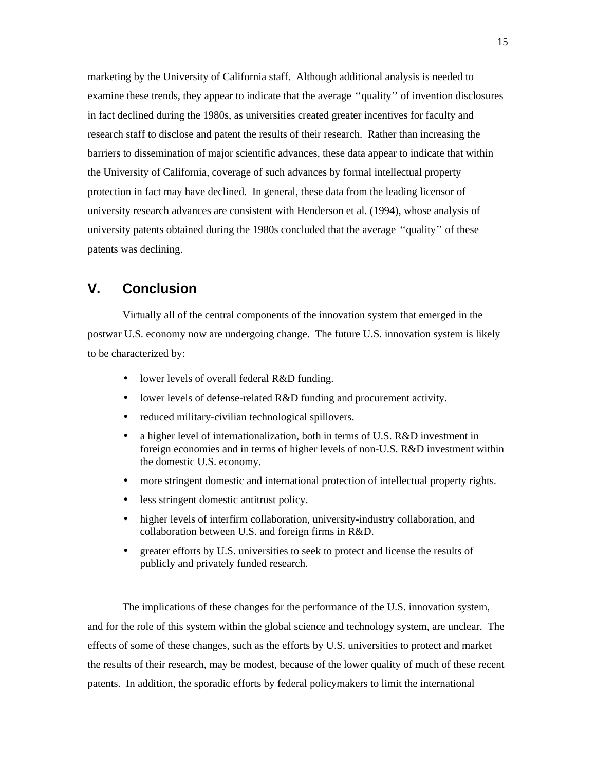marketing by the University of California staff. Although additional analysis is needed to examine these trends, they appear to indicate that the average ''quality'' of invention disclosures in fact declined during the 1980s, as universities created greater incentives for faculty and research staff to disclose and patent the results of their research. Rather than increasing the barriers to dissemination of major scientific advances, these data appear to indicate that within the University of California, coverage of such advances by formal intellectual property protection in fact may have declined. In general, these data from the leading licensor of university research advances are consistent with Henderson et al. (1994), whose analysis of university patents obtained during the 1980s concluded that the average ''quality'' of these patents was declining.

### **V. Conclusion**

Virtually all of the central components of the innovation system that emerged in the postwar U.S. economy now are undergoing change. The future U.S. innovation system is likely to be characterized by:

- lower levels of overall federal R&D funding.
- lower levels of defense-related R&D funding and procurement activity.
- reduced military-civilian technological spillovers.
- a higher level of internationalization, both in terms of U.S. R&D investment in foreign economies and in terms of higher levels of non-U.S. R&D investment within the domestic U.S. economy.
- more stringent domestic and international protection of intellectual property rights.
- less stringent domestic antitrust policy.
- higher levels of interfirm collaboration, university-industry collaboration, and collaboration between U.S. and foreign firms in R&D.
- greater efforts by U.S. universities to seek to protect and license the results of publicly and privately funded research.

The implications of these changes for the performance of the U.S. innovation system, and for the role of this system within the global science and technology system, are unclear. The effects of some of these changes, such as the efforts by U.S. universities to protect and market the results of their research, may be modest, because of the lower quality of much of these recent patents. In addition, the sporadic efforts by federal policymakers to limit the international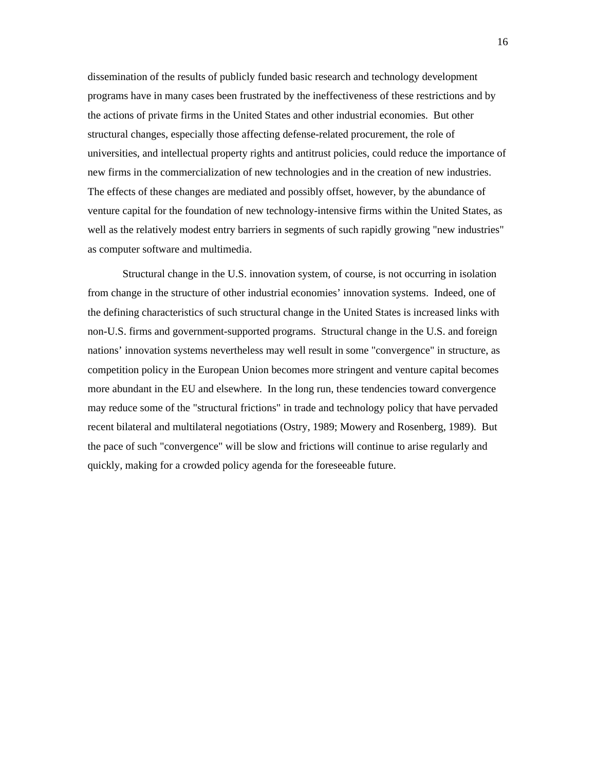dissemination of the results of publicly funded basic research and technology development programs have in many cases been frustrated by the ineffectiveness of these restrictions and by the actions of private firms in the United States and other industrial economies. But other structural changes, especially those affecting defense-related procurement, the role of universities, and intellectual property rights and antitrust policies, could reduce the importance of new firms in the commercialization of new technologies and in the creation of new industries. The effects of these changes are mediated and possibly offset, however, by the abundance of venture capital for the foundation of new technology-intensive firms within the United States, as well as the relatively modest entry barriers in segments of such rapidly growing "new industries" as computer software and multimedia.

Structural change in the U.S. innovation system, of course, is not occurring in isolation from change in the structure of other industrial economies' innovation systems. Indeed, one of the defining characteristics of such structural change in the United States is increased links with non-U.S. firms and government-supported programs. Structural change in the U.S. and foreign nations' innovation systems nevertheless may well result in some "convergence" in structure, as competition policy in the European Union becomes more stringent and venture capital becomes more abundant in the EU and elsewhere. In the long run, these tendencies toward convergence may reduce some of the "structural frictions" in trade and technology policy that have pervaded recent bilateral and multilateral negotiations (Ostry, 1989; Mowery and Rosenberg, 1989). But the pace of such "convergence" will be slow and frictions will continue to arise regularly and quickly, making for a crowded policy agenda for the foreseeable future.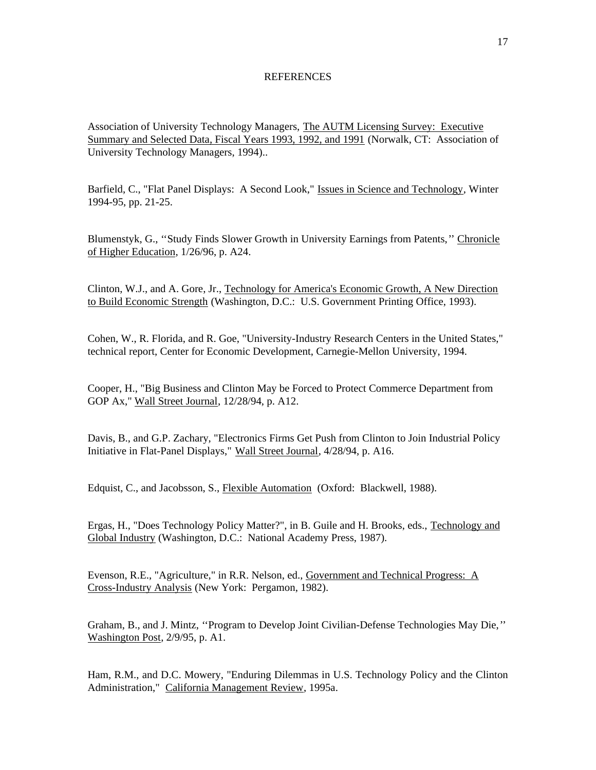#### REFERENCES

Association of University Technology Managers, The AUTM Licensing Survey: Executive Summary and Selected Data, Fiscal Years 1993, 1992, and 1991 (Norwalk, CT: Association of University Technology Managers, 1994)..

Barfield, C., "Flat Panel Displays: A Second Look," Issues in Science and Technology, Winter 1994-95, pp. 21-25.

Blumenstyk, G., "Study Finds Slower Growth in University Earnings from Patents," Chronicle of Higher Education, 1/26/96, p. A24.

Clinton, W.J., and A. Gore, Jr., Technology for America's Economic Growth, A New Direction to Build Economic Strength (Washington, D.C.: U.S. Government Printing Office, 1993).

Cohen, W., R. Florida, and R. Goe, "University-Industry Research Centers in the United States," technical report, Center for Economic Development, Carnegie-Mellon University, 1994.

Cooper, H., "Big Business and Clinton May be Forced to Protect Commerce Department from GOP Ax," Wall Street Journal, 12/28/94, p. A12.

Davis, B., and G.P. Zachary, "Electronics Firms Get Push from Clinton to Join Industrial Policy Initiative in Flat-Panel Displays," Wall Street Journal, 4/28/94, p. A16.

Edquist, C., and Jacobsson, S., Flexible Automation (Oxford: Blackwell, 1988).

Ergas, H., "Does Technology Policy Matter?", in B. Guile and H. Brooks, eds., Technology and Global Industry (Washington, D.C.: National Academy Press, 1987).

Evenson, R.E., "Agriculture," in R.R. Nelson, ed., Government and Technical Progress: A Cross-Industry Analysis (New York: Pergamon, 1982).

Graham, B., and J. Mintz, ''Program to Develop Joint Civilian-Defense Technologies May Die,'' Washington Post, 2/9/95, p. A1.

Ham, R.M., and D.C. Mowery, "Enduring Dilemmas in U.S. Technology Policy and the Clinton Administration," California Management Review, 1995a.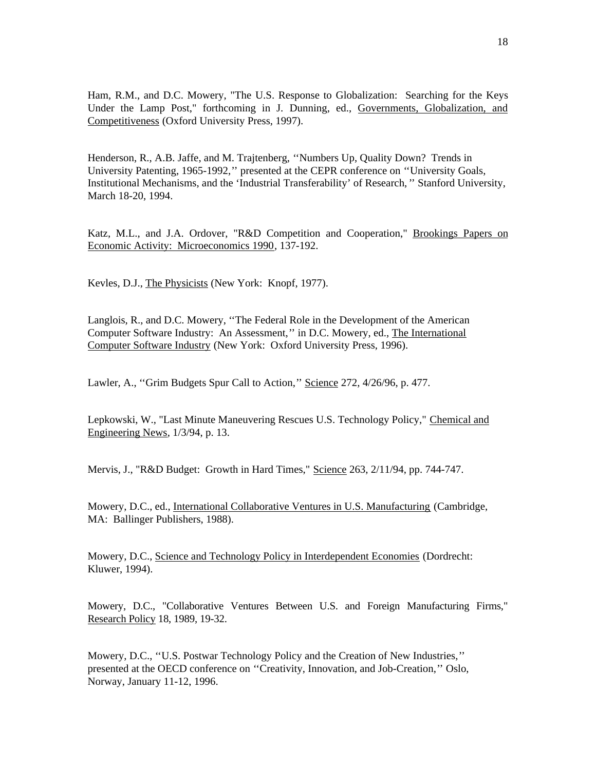Ham, R.M., and D.C. Mowery, "The U.S. Response to Globalization: Searching for the Keys Under the Lamp Post," forthcoming in J. Dunning, ed., Governments, Globalization, and Competitiveness (Oxford University Press, 1997).

Henderson, R., A.B. Jaffe, and M. Trajtenberg, ''Numbers Up, Quality Down? Trends in University Patenting, 1965-1992,'' presented at the CEPR conference on ''University Goals, Institutional Mechanisms, and the 'Industrial Transferability' of Research, '' Stanford University, March 18-20, 1994.

Katz, M.L., and J.A. Ordover, "R&D Competition and Cooperation," Brookings Papers on Economic Activity: Microeconomics 1990, 137-192.

Kevles, D.J., The Physicists (New York: Knopf, 1977).

Langlois, R., and D.C. Mowery, ''The Federal Role in the Development of the American Computer Software Industry: An Assessment,'' in D.C. Mowery, ed., The International Computer Software Industry (New York: Oxford University Press, 1996).

Lawler, A., "Grim Budgets Spur Call to Action," Science 272, 4/26/96, p. 477.

Lepkowski, W., "Last Minute Maneuvering Rescues U.S. Technology Policy," Chemical and Engineering News, 1/3/94, p. 13.

Mervis, J., "R&D Budget: Growth in Hard Times," Science 263, 2/11/94, pp. 744-747.

Mowery, D.C., ed., International Collaborative Ventures in U.S. Manufacturing (Cambridge, MA: Ballinger Publishers, 1988).

Mowery, D.C., Science and Technology Policy in Interdependent Economies (Dordrecht: Kluwer, 1994).

Mowery, D.C., "Collaborative Ventures Between U.S. and Foreign Manufacturing Firms," Research Policy 18, 1989, 19-32.

Mowery, D.C., ''U.S. Postwar Technology Policy and the Creation of New Industries,'' presented at the OECD conference on ''Creativity, Innovation, and Job-Creation,'' Oslo, Norway, January 11-12, 1996.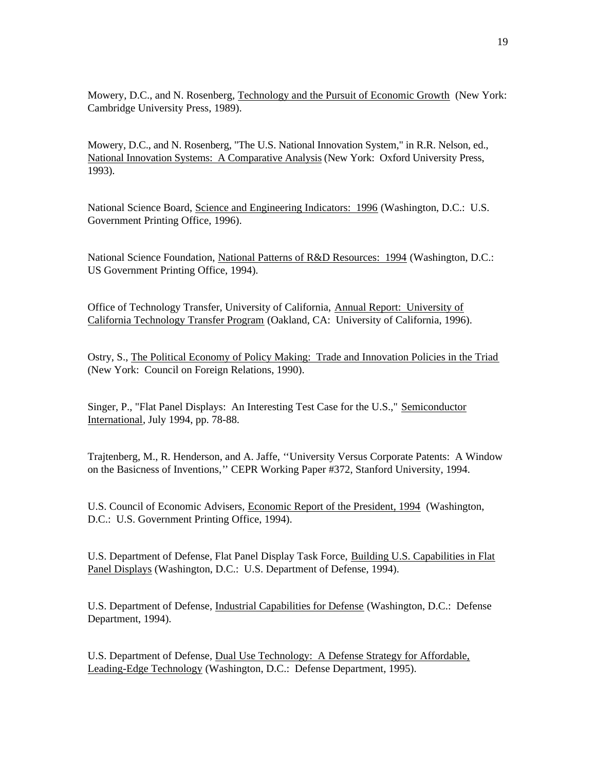Mowery, D.C., and N. Rosenberg, Technology and the Pursuit of Economic Growth (New York: Cambridge University Press, 1989).

Mowery, D.C., and N. Rosenberg, "The U.S. National Innovation System," in R.R. Nelson, ed., National Innovation Systems: A Comparative Analysis (New York: Oxford University Press, 1993).

National Science Board, Science and Engineering Indicators: 1996 (Washington, D.C.: U.S. Government Printing Office, 1996).

National Science Foundation, National Patterns of R&D Resources: 1994 (Washington, D.C.: US Government Printing Office, 1994).

Office of Technology Transfer, University of California, Annual Report: University of California Technology Transfer Program (Oakland, CA: University of California, 1996).

Ostry, S., The Political Economy of Policy Making: Trade and Innovation Policies in the Triad (New York: Council on Foreign Relations, 1990).

Singer, P., "Flat Panel Displays: An Interesting Test Case for the U.S.," Semiconductor International, July 1994, pp. 78-88.

Trajtenberg, M., R. Henderson, and A. Jaffe, ''University Versus Corporate Patents: A Window on the Basicness of Inventions,'' CEPR Working Paper #372, Stanford University, 1994.

U.S. Council of Economic Advisers, Economic Report of the President, 1994 (Washington, D.C.: U.S. Government Printing Office, 1994).

U.S. Department of Defense, Flat Panel Display Task Force, Building U.S. Capabilities in Flat Panel Displays (Washington, D.C.: U.S. Department of Defense, 1994).

U.S. Department of Defense, Industrial Capabilities for Defense (Washington, D.C.: Defense Department, 1994).

U.S. Department of Defense, Dual Use Technology: A Defense Strategy for Affordable, Leading-Edge Technology (Washington, D.C.: Defense Department, 1995).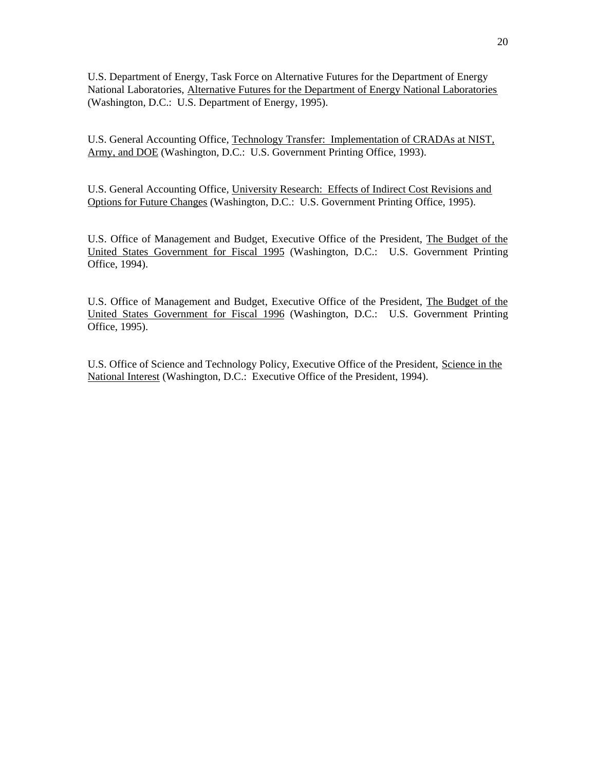U.S. Department of Energy, Task Force on Alternative Futures for the Department of Energy National Laboratories, Alternative Futures for the Department of Energy National Laboratories (Washington, D.C.: U.S. Department of Energy, 1995).

U.S. General Accounting Office, Technology Transfer: Implementation of CRADAs at NIST, Army, and DOE (Washington, D.C.: U.S. Government Printing Office, 1993).

U.S. General Accounting Office, University Research: Effects of Indirect Cost Revisions and Options for Future Changes (Washington, D.C.: U.S. Government Printing Office, 1995).

U.S. Office of Management and Budget, Executive Office of the President, The Budget of the United States Government for Fiscal 1995 (Washington, D.C.: U.S. Government Printing Office, 1994).

U.S. Office of Management and Budget, Executive Office of the President, The Budget of the United States Government for Fiscal 1996 (Washington, D.C.: U.S. Government Printing Office, 1995).

U.S. Office of Science and Technology Policy, Executive Office of the President, Science in the National Interest (Washington, D.C.: Executive Office of the President, 1994).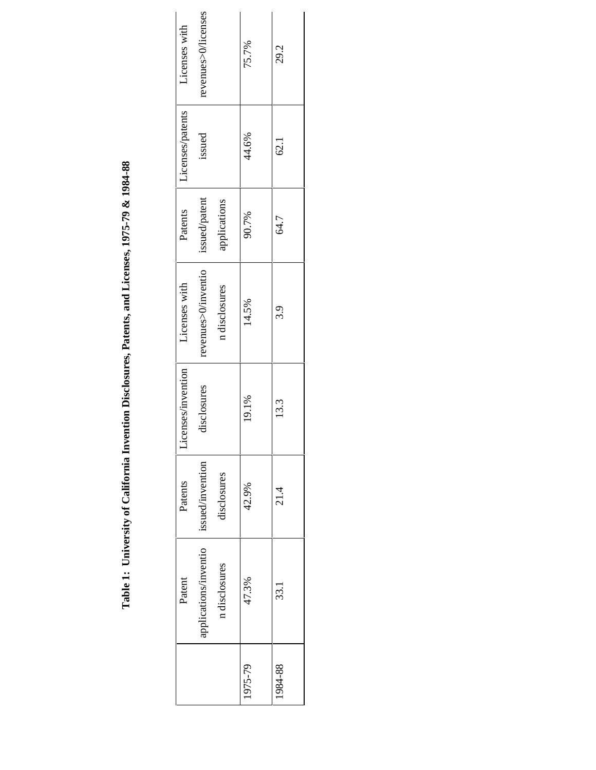Table 1: University of California Invention Disclosures, Patents, and Licenses, 1975-79 & 1984-88 **Table 1: University of California Invention Disclosures, Patents, and Licenses, 1975-79 & 1984-88**

|         | Patent                | Patents          | censes/invention<br>$\tilde{\exists}$ | Licenses with       | Patents       | Licenses/patents | Licenses with       |
|---------|-----------------------|------------------|---------------------------------------|---------------------|---------------|------------------|---------------------|
|         | applications/inventio | issued/invention | disclosures                           | revenues>0/inventio | issued/patent | issued           | revenues>0/licenses |
|         | n disclosures         | tisclosures      |                                       | n disclosures       | applications  |                  |                     |
| 1975-79 | 47.3%                 | 42.9%            | 19.1%                                 | 14.5%               | 90.7%         | 44.6%            | 75.7%               |
| 1984-88 | 33.1                  | $\frac{4}{21}$   | 13.3                                  | 3.9                 | 64.7          | 62.1             | 29.2                |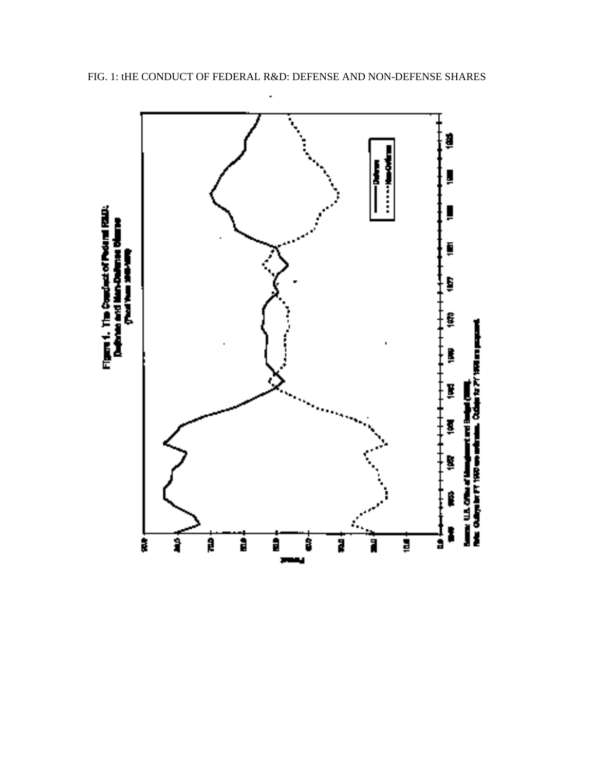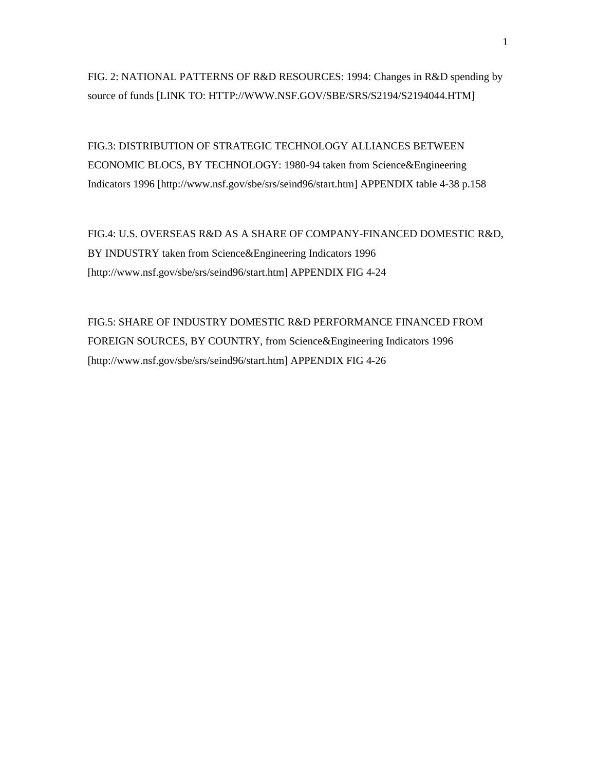FIG. 2: NATIONAL PATTERNS OF R&D RESOURCES: 1994: Changes in R&D spending by source of funds [LINK TO: HTTP://WWW.NSF.GOV/SBE/SRS/S2194/S2194044.HTM]

FIG.3: DISTRIBUTION OF STRATEGIC TECHNOLOGY ALLIANCES BETWEEN ECONOMIC BLOCS, BY TECHNOLOGY: 1980-94 taken from Science&Engineering Indicators 1996 [http://www.nsf.gov/sbe/srs/seind96/start.htm] APPENDIX table 4-38 p.158

FIG.4: U.S. OVERSEAS R&D AS A SHARE OF COMPANY-FINANCED DOMESTIC R&D, BY INDUSTRY taken from Science&Engineering Indicators 1996 [http://www.nsf.gov/sbe/srs/seind96/start.htm] APPENDIX FIG 4-24

FIG.5: SHARE OF INDUSTRY DOMESTIC R&D PERFORMANCE FINANCED FROM FOREIGN SOURCES, BY COUNTRY, from Science&Engineering Indicators 1996 [http://www.nsf.gov/sbe/srs/seind96/start.htm] APPENDIX FIG 4-26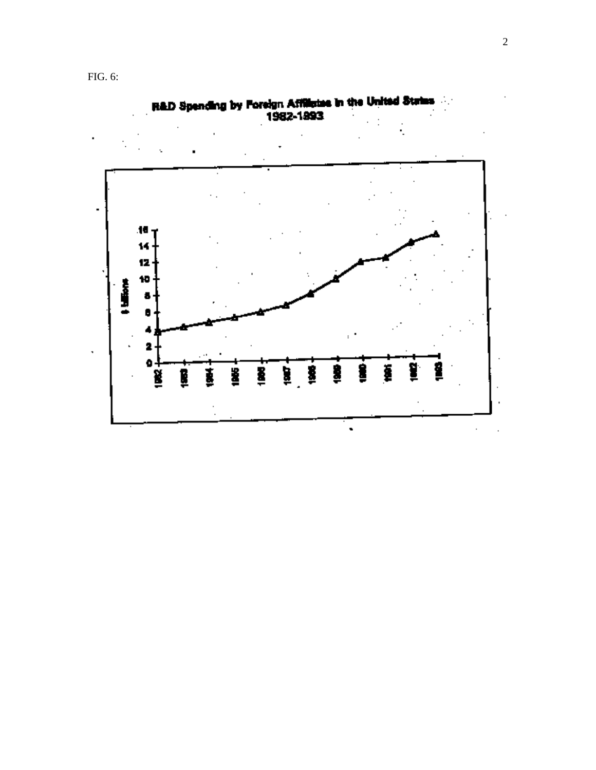FIG. 6:



 $\blacksquare$ 

R&D Spending by Foreign Affiliates in the United States<br>1982-1993

 $\cdot$ 

92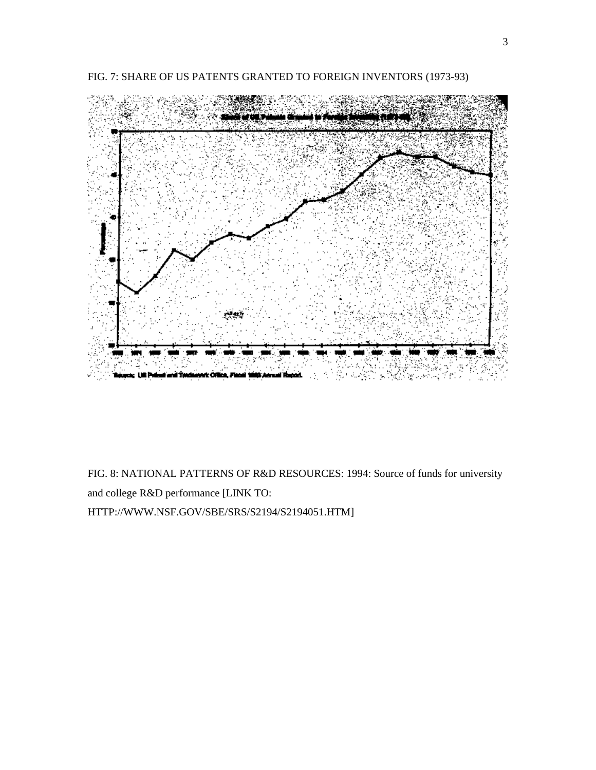

FIG. 7: SHARE OF US PATENTS GRANTED TO FOREIGN INVENTORS (1973-93)

FIG. 8: NATIONAL PATTERNS OF R&D RESOURCES: 1994: Source of funds for university and college R&D performance [LINK TO: HTTP://WWW.NSF.GOV/SBE/SRS/S2194/S2194051.HTM]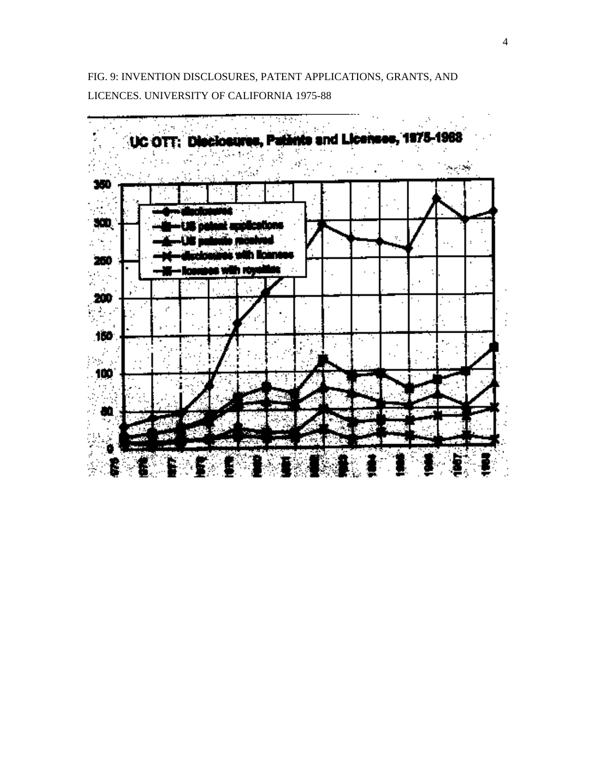FIG. 9: INVENTION DISCLOSURES, PATENT APPLICATIONS, GRANTS, AND LICENCES. UNIVERSITY OF CALIFORNIA 1975-88